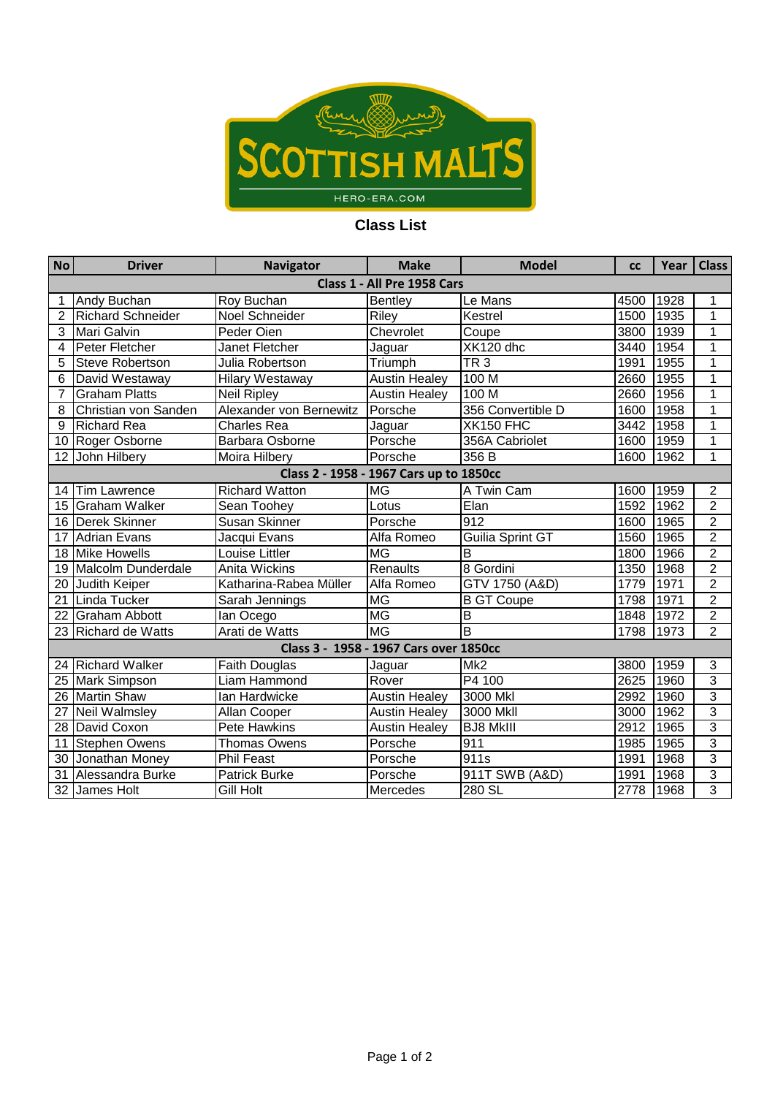

## **Class List**

| <b>No</b>                               | <b>Driver</b>            | <b>Navigator</b>        | <b>Make</b>          | <b>Model</b>      | <b>CC</b> | Year | <b>Class</b>   |  |  |  |  |  |
|-----------------------------------------|--------------------------|-------------------------|----------------------|-------------------|-----------|------|----------------|--|--|--|--|--|
| Class 1 - All Pre 1958 Cars             |                          |                         |                      |                   |           |      |                |  |  |  |  |  |
|                                         | Andy Buchan              | Roy Buchan              | <b>Bentley</b>       | Le Mans           | 4500      | 1928 |                |  |  |  |  |  |
| $\overline{2}$                          | <b>Richard Schneider</b> | Noel Schneider          | Riley                | Kestrel           | 1500      | 1935 | $\overline{1}$ |  |  |  |  |  |
| 3                                       | <b>Mari Galvin</b>       | Peder Oien              | Chevrolet            | Coupe             | 3800      | 1939 | 1              |  |  |  |  |  |
| 4                                       | Peter Fletcher           | Janet Fletcher          | Jaguar               | XK120 dhc         | 3440      | 1954 | 1              |  |  |  |  |  |
| 5                                       | <b>Steve Robertson</b>   | Julia Robertson         | Triumph              | TR3               | 1991      | 1955 | $\overline{1}$ |  |  |  |  |  |
| 6                                       | David Westaway           | <b>Hilary Westaway</b>  | <b>Austin Healey</b> | 100 <sub>M</sub>  | 2660      | 1955 | $\overline{1}$ |  |  |  |  |  |
| 7                                       | <b>Graham Platts</b>     | <b>Neil Ripley</b>      | <b>Austin Healey</b> | 100 <sub>M</sub>  | 2660      | 1956 | 1              |  |  |  |  |  |
| 8                                       | Christian von Sanden     | Alexander von Bernewitz | Porsche              | 356 Convertible D | 1600      | 1958 | 1              |  |  |  |  |  |
| 9                                       | <b>Richard Rea</b>       | <b>Charles Rea</b>      | Jaguar               | <b>XK150 FHC</b>  | 3442      | 1958 | 1              |  |  |  |  |  |
| 10                                      | Roger Osborne            | Barbara Osborne         | Porsche              | 356A Cabriolet    | 1600      | 1959 | $\overline{1}$ |  |  |  |  |  |
| 12                                      | John Hilbery             | Moira Hilbery           | Porsche              | 356 B             | 1600      | 1962 | 1              |  |  |  |  |  |
| Class 2 - 1958 - 1967 Cars up to 1850cc |                          |                         |                      |                   |           |      |                |  |  |  |  |  |
| 14                                      | <b>Tim Lawrence</b>      | <b>Richard Watton</b>   | <b>MG</b>            | A Twin Cam        | 1600      | 1959 | $\overline{c}$ |  |  |  |  |  |
| 15                                      | <b>Graham Walker</b>     | Sean Toohey             | Lotus                | Eian              | 1592      | 1962 | $\overline{2}$ |  |  |  |  |  |
| 16                                      | <b>Derek Skinner</b>     | Susan Skinner           | Porsche              | 912               | 1600      | 1965 | $\overline{2}$ |  |  |  |  |  |
| 17                                      | <b>Adrian Evans</b>      | Jacqui Evans            | Alfa Romeo           | Guilia Sprint GT  | 1560      | 1965 | $\overline{2}$ |  |  |  |  |  |
| 18                                      | <b>Mike Howells</b>      | Louise Littler          | <b>MG</b>            | $\overline{B}$    | 1800      | 1966 | $\overline{2}$ |  |  |  |  |  |
| 19                                      | Malcolm Dunderdale       | <b>Anita Wickins</b>    | Renaults             | 8 Gordini         | 1350      | 1968 | $\overline{2}$ |  |  |  |  |  |
| 20                                      | Judith Keiper            | Katharina-Rabea Müller  | Alfa Romeo           | GTV 1750 (A&D)    | 1779      | 1971 | $\overline{2}$ |  |  |  |  |  |
| 21                                      | Linda Tucker             | Sarah Jennings          | <b>MG</b>            | <b>B GT Coupe</b> | 1798      | 1971 | $\overline{2}$ |  |  |  |  |  |
| 22                                      | <b>Graham Abbott</b>     | lan Ocego               | <b>MG</b>            | $\overline{B}$    | 1848      | 1972 | $\overline{2}$ |  |  |  |  |  |
| 23                                      | <b>Richard de Watts</b>  | Arati de Watts          | <b>MG</b>            | B                 | 1798      | 1973 | $\overline{2}$ |  |  |  |  |  |
| Class 3 - 1958 - 1967 Cars over 1850cc  |                          |                         |                      |                   |           |      |                |  |  |  |  |  |
| 24                                      | <b>Richard Walker</b>    | Faith Douglas           | Jaguar               | Mk <sub>2</sub>   | 3800      | 1959 | 3              |  |  |  |  |  |
| 25                                      | <b>Mark Simpson</b>      | <b>Liam Hammond</b>     | Rover                | P4 100            | 2625      | 1960 | $\overline{3}$ |  |  |  |  |  |
| 26                                      | <b>Martin Shaw</b>       | Ian Hardwicke           | <b>Austin Healey</b> | 3000 Mkl          | 2992      | 1960 | $\overline{3}$ |  |  |  |  |  |
| 27                                      | Neil Walmsley            | Allan Cooper            | <b>Austin Healey</b> | 3000 Mkll         | 3000      | 1962 | $\overline{3}$ |  |  |  |  |  |
| 28                                      | David Coxon              | Pete Hawkins            | <b>Austin Healey</b> | <b>BJ8 MkIII</b>  | 2912      | 1965 | $\overline{3}$ |  |  |  |  |  |
| 11                                      | <b>Stephen Owens</b>     | <b>Thomas Owens</b>     | Porsche              | 911               | 1985      | 1965 | $\overline{3}$ |  |  |  |  |  |
| 30                                      | Jonathan Money           | <b>Phil Feast</b>       | Porsche              | 911s              | 1991      | 1968 | 3              |  |  |  |  |  |
| 31                                      | Alessandra Burke         | <b>Patrick Burke</b>    | Porsche              | 911T SWB (A&D)    | 1991      | 1968 | $\overline{3}$ |  |  |  |  |  |
|                                         | 32 James Holt            | Gill Holt               | Mercedes             | 280 SL            | 2778      | 1968 | 3              |  |  |  |  |  |